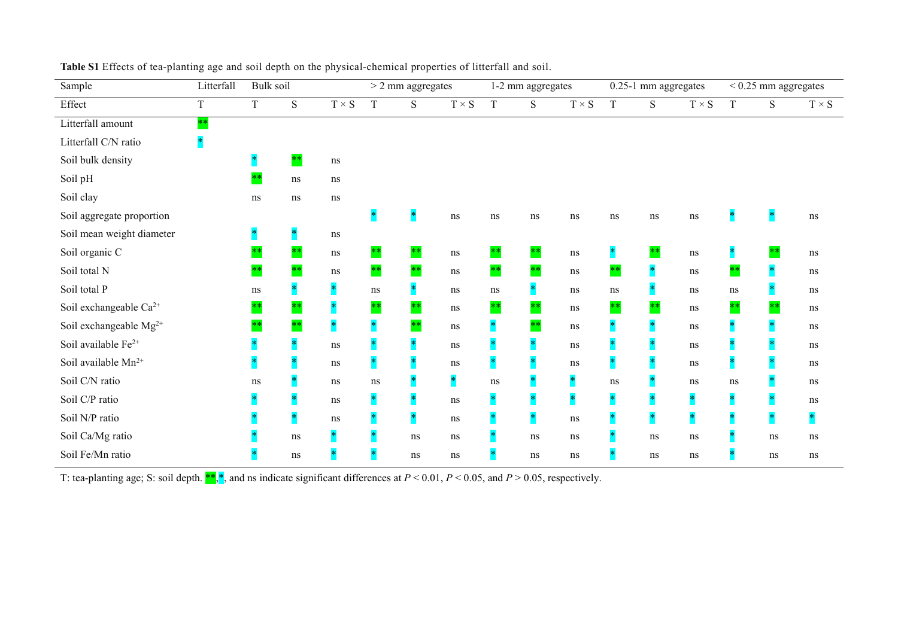| Sample                             | Litterfall | Bulk soil            |           |               |        | $>$ 2 mm aggregates |             |         | 1-2 mm aggregates |             |             | 0.25-1 mm aggregates |             | $< 0.25 \ {\rm mm}$ aggregates |       |              |
|------------------------------------|------------|----------------------|-----------|---------------|--------|---------------------|-------------|---------|-------------------|-------------|-------------|----------------------|-------------|--------------------------------|-------|--------------|
| Effect                             | T          | T                    | ${\bf S}$ | $T\times S$   | T      | S                   | $T\times S$ | $\rm T$ | S                 | $T\times S$ | $\mathbf T$ | ${\bf S}$            | $T\times S$ | T                              | S     | $T \times S$ |
| Litterfall amount                  | $**$       |                      |           |               |        |                     |             |         |                   |             |             |                      |             |                                |       |              |
| Litterfall C/N ratio               | $\ast$     |                      |           |               |        |                     |             |         |                   |             |             |                      |             |                                |       |              |
| Soil bulk density                  |            | $\ast$               | $**$      | $\, {\rm ns}$ |        |                     |             |         |                   |             |             |                      |             |                                |       |              |
| Soil pH                            |            | $**$                 | $\bf ns$  | ns            |        |                     |             |         |                   |             |             |                      |             |                                |       |              |
| Soil clay                          |            | ns                   | $\rm ns$  | ns            |        |                     |             |         |                   |             |             |                      |             |                                |       |              |
| Soil aggregate proportion          |            |                      |           |               |        |                     | ns          | ns      | $\rm ns$          | ns          | ns          | $\rm ns$             | ns          |                                |       | ns           |
| Soil mean weight diameter          |            | $\ddot{\phantom{1}}$ |           | ns            |        |                     |             |         |                   |             |             |                      |             |                                |       |              |
| Soil organic C                     |            | $**$                 | $**$      | ns            | $**$   | $* *$               | ns          | $**$    | $* *$             | ns          |             | $**$                 | $\rm ns$    |                                | $***$ | ns           |
| Soil total N                       |            | $**$                 | $**$      | ns            | $**$   | $**$                | $\, \rm ns$ | $***$   | $**$              | $\bf ns$    | $***$       |                      | $\rm ns$    | $***$                          |       | ns           |
| Soil total P                       |            | ns                   |           | $\ast$        | ns     |                     | ns          | ns      | $\ast$            | ns          | ns          |                      | ns          | ns                             |       | ns           |
| Soil exchangeable Ca <sup>2+</sup> |            | $**$                 | $**$      |               | $**$   | $**$                | ns          | $***$   | $**$              | ns          | $**$        | $**$                 | ns          | $***$                          | $***$ | ns           |
| Soil exchangeable $Mg^{2+}$        |            | $**$                 | $**$      |               | $\ast$ | $**$                | $\, \rm ns$ |         | $**$              | $\, \rm ns$ |             |                      | ns          |                                |       | ns           |
| Soil available $Fe^{2+}$           |            |                      |           | ns            |        |                     | ns          |         |                   | ns          |             |                      | ns          |                                |       | ns           |
| Soil available $Mn^{2+}$           |            |                      |           | ns            | $\ast$ |                     | ns          |         |                   | ns          |             |                      | ns          |                                |       | ns           |
| Soil C/N ratio                     |            | ns                   |           | ns            | ns     |                     |             | ns      |                   |             | ns          |                      | $\rm ns$    | ns                             |       | ns           |
| Soil C/P ratio                     |            |                      |           | ns            |        |                     | ns          |         |                   |             |             |                      |             |                                |       | ns           |
| Soil N/P ratio                     |            |                      |           | ns            |        |                     | ns          |         |                   | ns          |             | $\ast$               |             |                                |       | 来            |
| Soil Ca/Mg ratio                   |            |                      | ns        |               |        | $\bf ns$            | ns          |         | $\, \rm ns$       | ns          |             | ns                   | ns          |                                | ns    | ns           |
| Soil Fe/Mn ratio                   |            |                      | ns        |               |        | $\rm ns$            | ns          |         | $\, \rm ns$       | ns          |             | $\rm ns$             | ns          |                                | ns    | ns           |

| Table S1 Effects of tea-planting age and soil depth on the physical-chemical properties of litterfall and soil. |  |
|-----------------------------------------------------------------------------------------------------------------|--|
|-----------------------------------------------------------------------------------------------------------------|--|

T: tea-planting age; S: soil depth. \*\*,\*, and ns indicate significant differences at *P* < 0.01, *P* <0.05, and *P* > 0.05, respectively.